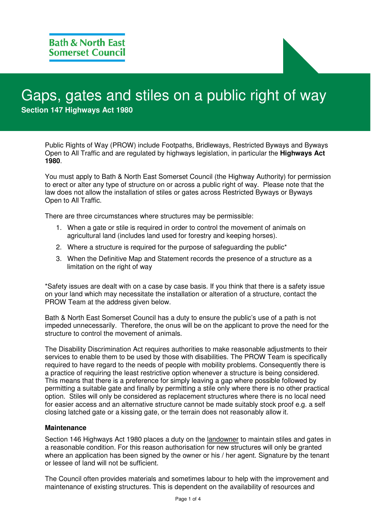# Gaps, gates and stiles on a public right of way **Section 147 Highways Act 1980**

Public Rights of Way (PROW) include Footpaths, Bridleways, Restricted Byways and Byways Open to All Traffic and are regulated by highways legislation, in particular the **Highways Act 1980**.

You must apply to Bath & North East Somerset Council (the Highway Authority) for permission to erect or alter any type of structure on or across a public right of way. Please note that the law does not allow the installation of stiles or gates across Restricted Byways or Byways Open to All Traffic.

There are three circumstances where structures may be permissible:

- 1. When a gate or stile is required in order to control the movement of animals on agricultural land (includes land used for forestry and keeping horses).
- 2. Where a structure is required for the purpose of safeguarding the public<sup>\*</sup>
- 3. When the Definitive Map and Statement records the presence of a structure as a limitation on the right of way

\*Safety issues are dealt with on a case by case basis. If you think that there is a safety issue on your land which may necessitate the installation or alteration of a structure, contact the PROW Team at the address given below.

Bath & North East Somerset Council has a duty to ensure the public's use of a path is not impeded unnecessarily. Therefore, the onus will be on the applicant to prove the need for the structure to control the movement of animals.

The Disability Discrimination Act requires authorities to make reasonable adjustments to their services to enable them to be used by those with disabilities. The PROW Team is specifically required to have regard to the needs of people with mobility problems. Consequently there is a practice of requiring the least restrictive option whenever a structure is being considered. This means that there is a preference for simply leaving a gap where possible followed by permitting a suitable gate and finally by permitting a stile only where there is no other practical option. Stiles will only be considered as replacement structures where there is no local need for easier access and an alternative structure cannot be made suitably stock proof e.g. a self closing latched gate or a kissing gate, or the terrain does not reasonably allow it.

#### **Maintenance**

Section 146 Highways Act 1980 places a duty on the landowner to maintain stiles and gates in a reasonable condition. For this reason authorisation for new structures will only be granted where an application has been signed by the owner or his / her agent. Signature by the tenant or lessee of land will not be sufficient.

The Council often provides materials and sometimes labour to help with the improvement and maintenance of existing structures. This is dependent on the availability of resources and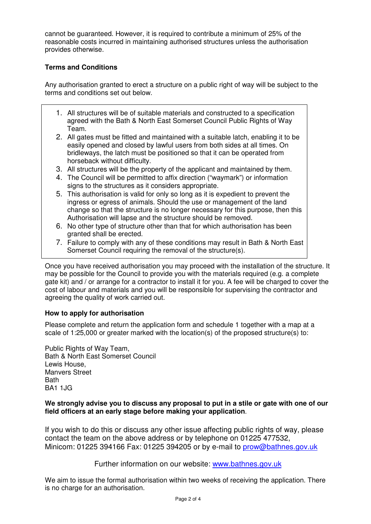cannot be guaranteed. However, it is required to contribute a minimum of 25% of the reasonable costs incurred in maintaining authorised structures unless the authorisation provides otherwise.

### **Terms and Conditions**

Any authorisation granted to erect a structure on a public right of way will be subject to the terms and conditions set out below.

- 1. All structures will be of suitable materials and constructed to a specification agreed with the Bath & North East Somerset Council Public Rights of Way Team.
- 2. All gates must be fitted and maintained with a suitable latch, enabling it to be easily opened and closed by lawful users from both sides at all times. On bridleways, the latch must be positioned so that it can be operated from horseback without difficulty.
- 3. All structures will be the property of the applicant and maintained by them.
- 4. The Council will be permitted to affix direction ("waymark") or information signs to the structures as it considers appropriate.
- 5. This authorisation is valid for only so long as it is expedient to prevent the ingress or egress of animals. Should the use or management of the land change so that the structure is no longer necessary for this purpose, then this Authorisation will lapse and the structure should be removed.
- 6. No other type of structure other than that for which authorisation has been granted shall be erected.
- 7. Failure to comply with any of these conditions may result in Bath & North East Somerset Council requiring the removal of the structure(s).

Once you have received authorisation you may proceed with the installation of the structure. It may be possible for the Council to provide you with the materials required (e.g. a complete gate kit) and / or arrange for a contractor to install it for you. A fee will be charged to cover the cost of labour and materials and you will be responsible for supervising the contractor and agreeing the quality of work carried out.

### **How to apply for authorisation**

Please complete and return the application form and schedule 1 together with a map at a scale of 1:25,000 or greater marked with the location(s) of the proposed structure(s) to:

Public Rights of Way Team, Bath & North East Somerset Council Lewis House, Manvers Street **Rath** BA1 1JG

### **We strongly advise you to discuss any proposal to put in a stile or gate with one of our field officers at an early stage before making your application**.

If you wish to do this or discuss any other issue affecting public rights of way, please contact the team on the above address or by telephone on 01225 477532, Minicom: 01225 394166 Fax: 01225 394205 or by e-mail to prow@bathnes.gov.uk

### Further information on our website: www.bathnes.gov.uk

We aim to issue the formal authorisation within two weeks of receiving the application. There is no charge for an authorisation.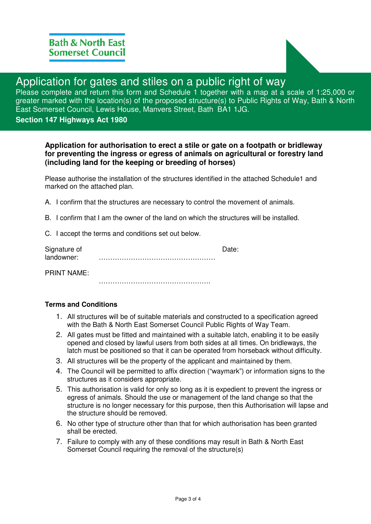

## Application for gates and stiles on a public right of way

Please complete and return this form and Schedule 1 together with a map at a scale of 1:25,000 or greater marked with the location(s) of the proposed structure(s) to Public Rights of Way, Bath & North East Somerset Council, Lewis House, Manvers Street, Bath BA1 1JG.

### **Section 147 Highways Act 1980**

### **Application for authorisation to erect a stile or gate on a footpath or bridleway for preventing the ingress or egress of animals on agricultural or forestry land (including land for the keeping or breeding of horses)**

Please authorise the installation of the structures identified in the attached Schedule1 and marked on the attached plan.

A. I confirm that the structures are necessary to control the movement of animals.

B. I confirm that I am the owner of the land on which the structures will be installed.

C. I accept the terms and conditions set out below.

| Signature of |  |
|--------------|--|
| landowner:   |  |

PRINT NAME:

………………………………………….

### **Terms and Conditions**

- 1. All structures will be of suitable materials and constructed to a specification agreed with the Bath & North East Somerset Council Public Rights of Way Team.
- 2. All gates must be fitted and maintained with a suitable latch, enabling it to be easily opened and closed by lawful users from both sides at all times. On bridleways, the latch must be positioned so that it can be operated from horseback without difficulty.
- 3. All structures will be the property of the applicant and maintained by them.
- 4. The Council will be permitted to affix direction ("waymark") or information signs to the structures as it considers appropriate.
- 5. This authorisation is valid for only so long as it is expedient to prevent the ingress or egress of animals. Should the use or management of the land change so that the structure is no longer necessary for this purpose, then this Authorisation will lapse and the structure should be removed.
- 6. No other type of structure other than that for which authorisation has been granted shall be erected.
- 7. Failure to comply with any of these conditions may result in Bath & North East Somerset Council requiring the removal of the structure(s)